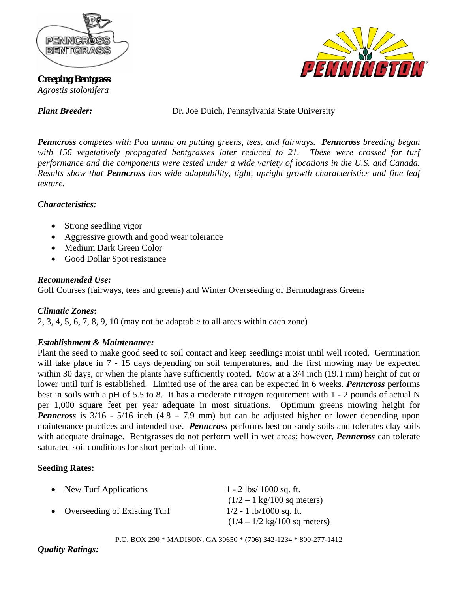

**Creeping Bentgrass**  *Agrostis stolonifera* 



*Plant Breeder:* Dr. Joe Duich, Pennsylvania State University

*Penncross competes with Poa annua on putting greens, tees, and fairways. Penncross breeding began with 156 vegetatively propagated bentgrasses later reduced to 21. These were crossed for turf performance and the components were tested under a wide variety of locations in the U.S. and Canada. Results show that Penncross has wide adaptability, tight, upright growth characteristics and fine leaf texture.* 

## *Characteristics:*

- Strong seedling vigor
- Aggressive growth and good wear tolerance
- Medium Dark Green Color
- Good Dollar Spot resistance

## *Recommended Use:*

Golf Courses (fairways, tees and greens) and Winter Overseeding of Bermudagrass Greens

# *Climatic Zones***:**

2, 3, 4, 5, 6, 7, 8, 9, 10 (may not be adaptable to all areas within each zone)

# *Establishment & Maintenance:*

Plant the seed to make good seed to soil contact and keep seedlings moist until well rooted. Germination will take place in  $7 - 15$  days depending on soil temperatures, and the first mowing may be expected within 30 days, or when the plants have sufficiently rooted. Mow at a 3/4 inch (19.1 mm) height of cut or lower until turf is established. Limited use of the area can be expected in 6 weeks. *Penncross* performs best in soils with a pH of 5.5 to 8. It has a moderate nitrogen requirement with 1 - 2 pounds of actual N per 1,000 square feet per year adequate in most situations. Optimum greens mowing height for *Penncross* is  $3/16 - 5/16$  inch  $(4.8 - 7.9 \text{ mm})$  but can be adjusted higher or lower depending upon maintenance practices and intended use. *Penncross* performs best on sandy soils and tolerates clay soils with adequate drainage. Bentgrasses do not perform well in wet areas; however, *Penncross* can tolerate saturated soil conditions for short periods of time.

# **Seeding Rates:**

| • New Turf Applications        | $1 - 2$ lbs/ 1000 sq. ft.                      |
|--------------------------------|------------------------------------------------|
|                                | $(1/2 - 1 \text{ kg}/100 \text{ sq meters})$   |
| • Overseeding of Existing Turf | $1/2 - 1$ lb/1000 sq. ft.                      |
|                                | $(1/4 - 1/2 \text{ kg}/100 \text{ sq meters})$ |

P.O. BOX 290 \* MADISON, GA 30650 \* (706) 342-1234 \* 800-277-1412